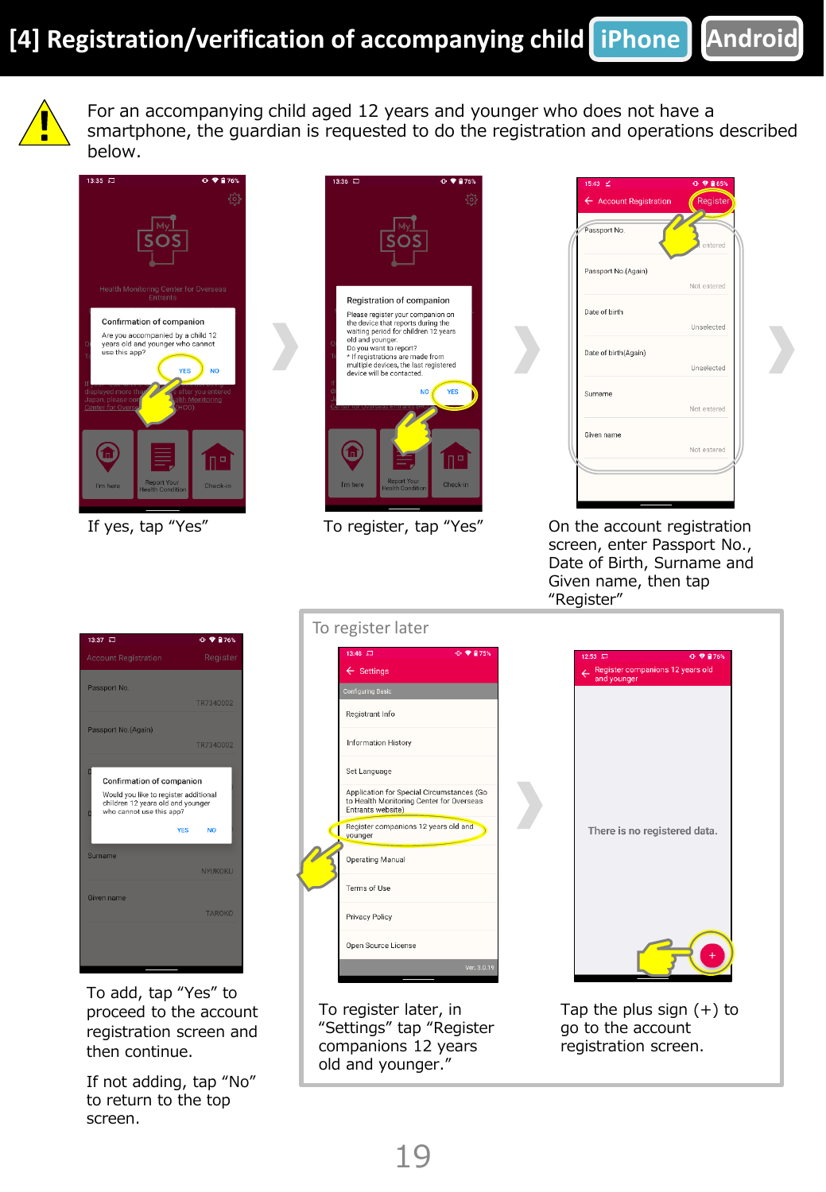

For an accompanying child aged 12 years and younger who does not have a smartphone, the guardian is requested to do the registration and operations described below.







If yes, tap "Yes" To register, tap "Yes" On the account registration screen, enter Passport No., Date of Birth, Surname and Given name, then tap "Register"

| 13:37                                                                                                                               |            | $0$ $9$ $176%$ |
|-------------------------------------------------------------------------------------------------------------------------------------|------------|----------------|
| <b>Account Registration</b>                                                                                                         |            | Register       |
| Passport No.                                                                                                                        |            |                |
|                                                                                                                                     |            | TR7340002      |
| Passport No.(Again)                                                                                                                 |            |                |
|                                                                                                                                     |            | TR7340002      |
|                                                                                                                                     |            |                |
| Confirmation of companion<br>Would you like to register additional<br>children 12 years old and younger<br>who cannot use this app? |            |                |
|                                                                                                                                     | <b>YES</b> | <b>NO</b>      |
| Surname                                                                                                                             |            |                |
|                                                                                                                                     |            | NYUKOKU        |
| Given name                                                                                                                          |            |                |
|                                                                                                                                     |            | <b>TAROKO</b>  |
|                                                                                                                                     |            |                |
|                                                                                                                                     |            |                |
|                                                                                                                                     |            |                |

To add, tap "Yes" to proceed to the account registration screen and then continue.

If not adding, tap "No" to return to the top screen.

|  | To register later                                                                                          |  |
|--|------------------------------------------------------------------------------------------------------------|--|
|  | 13:48 局<br>10 ♥ 自75%                                                                                       |  |
|  | $\leftarrow$ Settings                                                                                      |  |
|  | <b>Configuring Basic</b>                                                                                   |  |
|  | Registrant Info                                                                                            |  |
|  | <b>Information History</b>                                                                                 |  |
|  | Set Language                                                                                               |  |
|  | Application for Special Circumstances (Go<br>to Health Monitoring Center for Overseas<br>Entrants website) |  |
|  | Register companions 12 years old and<br>younger                                                            |  |
|  | Operating Manual                                                                                           |  |
|  | Terms of Use                                                                                               |  |
|  | Privacy Policy                                                                                             |  |
|  | Open Source License                                                                                        |  |
|  | Ver. 3.0.19                                                                                                |  |

To register later, in "Settings" tap "Register companions 12 years old and younger."



Tap the plus sign  $(+)$  to go to the account registration screen.